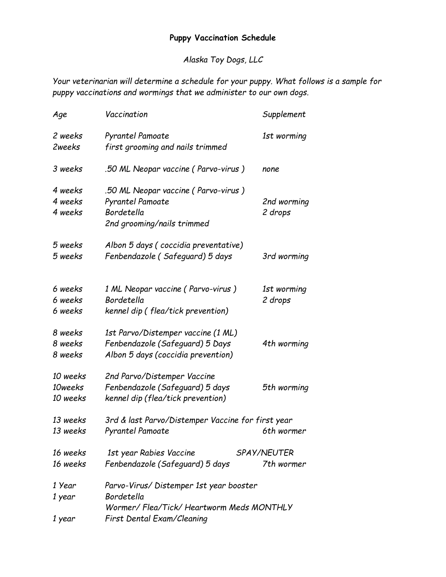## **Puppy Vaccination Schedule**

*Alaska Toy Dogs, LLC*

*Your veterinarian will determine a schedule for your puppy. What follows is a sample for puppy vaccinations and wormings that we administer to our own dogs.*

| Age                             | Vaccination                                                                                                                   | Supplement                       |
|---------------------------------|-------------------------------------------------------------------------------------------------------------------------------|----------------------------------|
| 2 weeks<br>2weeks               | Pyrantel Pamoate<br>first grooming and nails trimmed                                                                          | 1st worming                      |
| 3 weeks                         | .50 ML Neopar vaccine (Parvo-virus)                                                                                           | none                             |
| 4 weeks<br>4 weeks<br>4 weeks   | .50 ML Neopar vaccine (Parvo-virus)<br>Pyrantel Pamoate<br>Bordetella<br>2nd grooming/nails trimmed                           | 2nd worming<br>2 drops           |
| 5 weeks<br>5 weeks              | Albon 5 days (coccidia preventative)<br>Fenbendazole (Safeguard) 5 days                                                       | 3rd worming                      |
| 6 weeks<br>6 weeks<br>6 weeks   | 1 ML Neopar vaccine (Parvo-virus)<br>Bordetella<br>kennel dip (flea/tick prevention)                                          | 1st worming<br>2 drops           |
| 8 weeks<br>8 weeks<br>8 weeks   | 1st Parvo/Distemper vaccine (1 ML)<br>Fenbendazole (Safeguard) 5 Days<br>Albon 5 days (coccidia prevention)                   | 4th worming                      |
| 10 weeks<br>10weeks<br>10 weeks | 2nd Parvo/Distemper Vaccine<br>Fenbendazole (Safeguard) 5 days<br>kennel dip (flea/tick prevention)                           | 5th worming                      |
| 13 weeks<br>13 weeks            | 3rd & last Parvo/Distemper Vaccine for first year<br><b>Pyrantel Pamoate</b>                                                  | 6th wormer                       |
| 16 weeks<br>16 weeks            | 1st year Rabies Vaccine<br>Fenbendazole (Safeguard) 5 days                                                                    | <i>SPAY/NEUTER</i><br>7th wormer |
| 1 Year<br>1 year                | Parvo-Virus/Distemper 1st year booster<br>Bordetella<br>Wormer/Flea/Tick/Heartworm Meds MONTHLY<br>First Dental Exam/Cleaning |                                  |
| 1 year                          |                                                                                                                               |                                  |